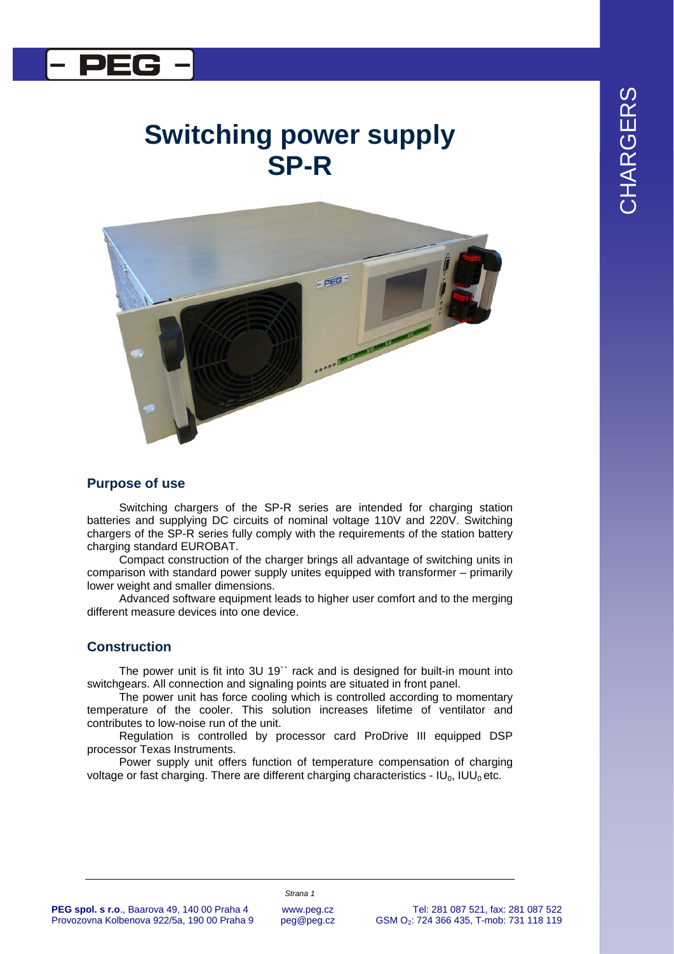# CHARGERS CHARGERS

### l DEC

## **Switching power supply SP-R**



#### **Purpose of use**

Switching chargers of the SP-R series are intended for charging station batteries and supplying DC circuits of nominal voltage 110V and 220V. Switching chargers of the SP-R series fully comply with the requirements of the station battery charging standard EUROBAT.

Compact construction of the charger brings all advantage of switching units in comparison with standard power supply unites equipped with transformer – primarily lower weight and smaller dimensions.

Advanced software equipment leads to higher user comfort and to the merging different measure devices into one device.

#### **Construction**

The power unit is fit into 3U 19`` rack and is designed for built-in mount into switchgears. All connection and signaling points are situated in front panel.

The power unit has force cooling which is controlled according to momentary temperature of the cooler. This solution increases lifetime of ventilator and contributes to low-noise run of the unit.

Regulation is controlled by processor card ProDrive III equipped DSP processor Texas Instruments.

Power supply unit offers function of temperature compensation of charging voltage or fast charging. There are different charging characteristics - IU<sub>0</sub>, IUU<sub>0</sub> etc.